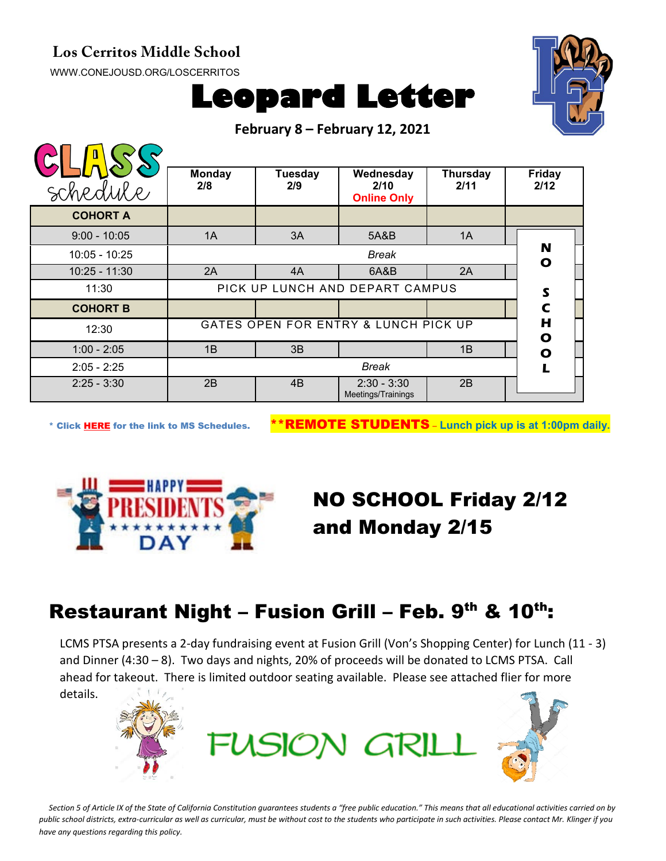#### **Los Cerritos Middle School**

[WWW.CONEJOUSD.ORG/LOSCERRITOS](http://www.conejousd.org/LOSCERRITOS)





**February 8 – February 12, 2021**

| schedule        | <b>Monday</b><br>2/8                 | <b>Tuesday</b><br>2/9 | Wednesday<br>2/10<br><b>Online Only</b> | Thursday<br>2/11 | <b>Friday</b><br>2/12 |
|-----------------|--------------------------------------|-----------------------|-----------------------------------------|------------------|-----------------------|
| <b>COHORT A</b> |                                      |                       |                                         |                  |                       |
| $9:00 - 10:05$  | 1A                                   | 3A                    | 5A&B                                    | 1A               |                       |
| 10:05 - 10:25   | <b>Break</b>                         |                       |                                         |                  | N<br>O                |
| $10:25 - 11:30$ | 2A                                   | 4A                    | 6A&B                                    | 2A               |                       |
| 11:30           | PICK UP LUNCH AND DEPART CAMPUS      |                       |                                         |                  | S                     |
| <b>COHORT B</b> |                                      |                       |                                         |                  | $\mathbf C$           |
| 12:30           | GATES OPEN FOR ENTRY & LUNCH PICK UP |                       |                                         |                  | H<br>$\bullet$        |
| $1:00 - 2:05$   | 1B                                   | 3B                    |                                         | 1B               | $\bullet$             |
| $2:05 - 2:25$   | <b>Break</b>                         |                       |                                         |                  |                       |
| $2:25 - 3:30$   | 2B                                   | 4 <sub>B</sub>        | $2:30 - 3:30$<br>Meetings/Trainings     | 2B               |                       |

\* Click [HERE](https://www.conejousd.org/Portals/0/Middle%20School%20Monthly%20Calendar%20_FNLl.pdf?ver=2020-11-04-105638-860) for the link to MS Schedules. \*\*REMOTE STUDENTS – **Lunch pick up is at 1:00pm daily.**



# NO SCHOOL Friday 2/12 and Monday 2/15

## Restaurant Night – Fusion Grill – Feb.  $9<sup>th</sup>$  & 10<sup>th</sup>:

LCMS PTSA presents a 2-day fundraising event at Fusion Grill (Von's Shopping Center) for Lunch (11 - 3) and Dinner (4:30 – 8). Two days and nights, 20% of proceeds will be donated to LCMS PTSA. Call ahead for takeout. There is limited outdoor seating available. Please see attached flier for more details.



Section 5 of Article IX of the State of California Constitution guarantees students a "free public education." This means that all educational activities carried on by *public school districts, extra-curricular as well as curricular, must be without cost to the students who participate in such activities. Please contact Mr. Klinger if you have any questions regarding this policy.*